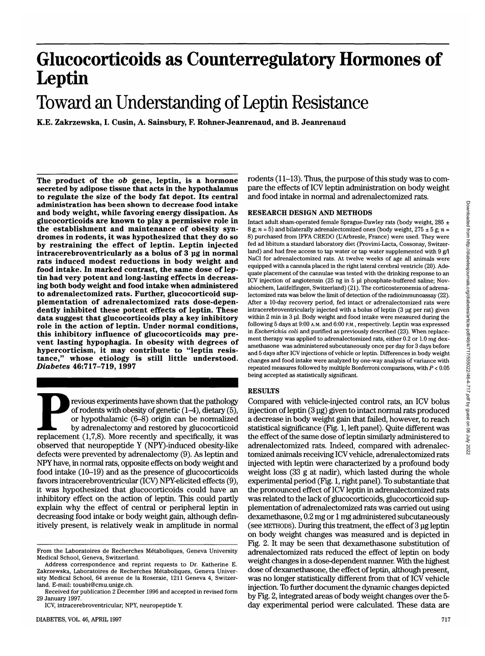# **Glucocorticoids as Counterregulatory Hormones of** Leptin

## Toward an Understanding of Leptin Resistance

**K.E. Zakrzewska, I. Cusin, A. Sainsbury, F. Rohner-Jeanrenaud, and B. Jeanrenaud**

**The product of the** *ob* **gene, leptin, is a hormone secreted by adipose tissue that acts in the hypothalamus to regulate the size of the body fat depot. Its central administration has been shown to decrease food intake and body weight, while favoring energy dissipation. As glucocorticoids are known to play a permissive role in the establishment and maintenance of obesity syn- dromes in rodents, it was hypothesized that they do so by restraining the effect of leptin. Leptin injected intracerebroventricularly as a bolus of 3 ug in normal rats induced modest reductions in body weight and food intake. In marked contrast, the same dose of lep- tin had very potent and long-lasting effects in decreas- ing both body weight and food intake when administered to adrenalectomized rats. Further, glucocorticoid sup- plementation of adrenalectomized rats dose-depen- dently inhibited these potent effects of leptin. These data suggest that glucocorticoids play a key inhibitory role in the action of leptin. Under normal conditions, this inhibitory influence of glucocorticoids may pre- vent lasting hypophagia. In obesity with degrees of hypercorticism, it may contribute to "leptin resis- tance," whose etiology is still little understood.** *Diabetes* **46:717-719, 1997**

**Previous experiments have shown that the pathology of rodents with obesity of genetic (1–4), dietary (5), or hypothalamic (6–8) origin can be normalized by adrenalectomy and restored by glucocorticoid replacement (1,7,8).** of rodents with obesity of genetic  $(1-4)$ , dietary (5), or hypothalamic (6-8) origin can be normalized by adrenalectomy and restored by glucocorticoid observed that neuropeptide Y (NPY)-induced obesity-like defects were prevented by adrenalectomy (9). As leptin and NPY have, in normal rats, opposite effects on body weight and food intake (10-19) and as the presence of glucocorticoids favors intracerebroventricular (ICV) NPY-elicited effects (9), it was hypothesized that glucocorticoids could have an inhibitory effect on the action of leptin. This could partly explain why the effect of central or peripheral leptin in decreasing food intake or body weight gain, although definitively present, is relatively weak in amplitude in normal

rodents (11-13). Thus, the purpose of this study was to compare the effects of ICV leptin administration on body weight and food intake in normal and adrenalectomized rats.

#### RESEARCH DESIGN AND METHODS

Intact adult sham-operated female Sprague-Dawley rats (body weight, 285 ± 8 g;  $n = 5$ ) and bilaterally adrenalectomized ones (body weight, 275  $\pm$  5 g;  $n =$ 8) purchased from IFFA CREDO (L'Arbresle, France) were used. They were fed ad libitum a standard laboratory diet (Provimi-Lacta, Cossonay, Switzerland) and had free access to tap water or tap water supplemented with 9 g/1 NaCl for adrenalectomized rats. At twelve weeks of age all animals were equipped with a cannula placed in the right lateral cerebral ventricle (20). Adequate placement of the cannulae was tested with the drinking response to an ICV injection of angiotensin (25 ng in 5 ul phosphate-buffered saline; Novabiochem, Laiifelfingen, Switzerland) (21). The corticosteronemia of adrenalectomized rats was below the limit of detection of the radioimmunoassay (22). After a 10-day recovery period, fed intact or adrenalectomized rats were intracerebroventricularly injected with a bolus of leptin (3 ug per rat) given within 2 min in 3 ul. Body weight and food intake were measured during the following 5 days at 9:00 A.M. and 6:00 P.M., respectively. Leptin was expressed in *Escherichia coli* and purified as previously described (23). When replacement therapy was applied to adrenalectomized rats, either 0.2 or 1.0 mg dexamethasone was administered subcutaneously once per day for 3 days before and 5 days after ICV injections of vehicle or leptin. Differences in body weight changes and food intake were analyzed by one-way analysis of variance with repeated measures followed by multiple Bonferroni comparisons, with *P <* 0.05 being accepted as statistically significant.

### **RESULTS**

Compared with vehicle-injected control rats, an ICV bolus injection of leptin (3 ug) given to intact normal rats produced a decrease in body weight gain that failed, however, to reach statistical significance (Fig. 1, left panel). Quite different was the effect of the same dose of leptin similarly administered to adrenalectomized rats. Indeed, compared with adrenalectomized animals receiving ICV vehicle, adrenalectomized rats injected with leptin were characterized by a profound body weight loss (33 g at nadir), which lasted during the whole experimental period (Fig. 1, right panel). To substantiate that the pronounced effect of ICV leptin in adrenalectomized rats was related to the lack of glucocorticoids, glucocorticoid supplementation of adrenalectomized rats was carried out using dexamethasone, 0.2 mg or 1 mg administered subcutaneously (see METHODS). During this treatment, the effect of 3 ug leptin on body weight changes was measured and is depicted in Fig. 2. It may be seen that dexamethasone substitution of adrenalectomized rats reduced the effect of leptin on body weight changes in a dose-dependent manner. With the highest dose of dexamethasone, the effect of leptin, although present, was no longer statistically different from that of ICV vehicle injection. To further document the dynamic changes depicted by Fig. 2, integrated areas of body weight changes over the 5 day experimental period were calculated. These data are

From the Laboratoires de Recherches Métaboliques, Geneva University Medical School, Geneva, Switzerland.

Address correspondence and reprint requests to Dr. Katherine E. Zakrzewska, Laboratoires de Recherches Metaboliques, Geneva University Medical School, 64 avenue de la Roseraie, 1211 Geneva 4, Switzerland. E-mail: touabi@cmu.unige.ch.

Received for publication 2 December 1996 and accepted in revised form 29 January 1997.

ICV, intracerebroventricular; NPY, neuropeptide Y.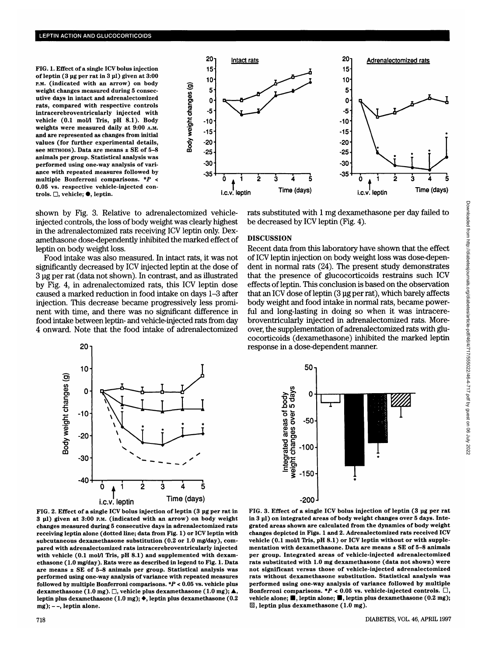**FIG. 1. Effect of a single ICV bolus injection of leptin (3 ug per rat in 3 ul) given at 3:00 P.M. (indicated with an arrow) on body weight changes measured during 5 consecutive days in intact and adrenalectomized rats, compared with respective controls intracerebroventricularly injected with vehicle (0.1 mol/1 Tris, pH 8.1). Body weights were measured daily at 9:00 A.M. and are represented as changes from initial values (for further experimental details, see METHODS). Data are means ± SE of 5-8 animals per group. Statistical analysis was performed using one-way analysis of variance with repeated measures followed by multiple Bonferroni comparisons.** *\*P* **< 0.05 vs. respective vehicle-injected controls.** □, vehicle; ●, leptin.



shown by Fig. 3. Relative to adrenalectomized vehicleinjected controls, the loss of body weight was clearly highest in the adrenalectomized rats receiving ICV leptin only. Dexamethasone dose-dependently inhibited the marked effect of leptin on body weight loss.

Food intake was also measured. In intact rats, it was not significantly decreased by ICV injected leptin at the dose of 3 ug per rat (data not shown). In contrast, and as illustrated by Fig. 4, in adrenalectomized rats, this ICV leptin dose caused a marked reduction in food intake on days 1-3 after injection. This decrease became progressively less prominent with time, and there was no significant difference in food intake between leptin- and vehicle-injected rats from day 4 onward. Note that the food intake of adrenalectomized



**FIG. 2. Effect of a single ICV bolus injection of leptin (3 ug per rat in 3 ul) given at 3:00 P.M. (indicated with an arrow) on body weight changes measured during 5 consecutive days in adrenalectomized rats receiving leptin alone (dotted line; data from Fig. 1) or ICV leptin with subcutaneous dexamethasone substitution (0.2 or 1.0 mg/day), compared with adrenalectomized rats intracerebroventricularly injected** with vehicle (0.1 mol/l Tris, pH 8.1) and supplemented with dexam**ethasone (1.0 mg/day). Rats were as described in legend to Fig. 1. Data are means ± SE of 5-8 animals per group. Statistical analysis was performed using one-way analysis of variance with repeated measures followed by multiple Bonferroni comparisons. \*P < 0.05 vs. vehicle plus** dexamethasone (1.0 mg).  $\Box$ , vehicle plus dexamethasone (1.0 mg);  $\blacktriangle$ , **leptin plus dexamethasone (1.0 mg); • , leptin plus dexamethasone (0.2 mg); - -, leptin alone.**

rats substituted with 1 mg dexamethasone per day failed to be decreased by ICV leptin (Fig. 4).

## **DISCUSSION**

Recent data from this laboratory have shown that the effect of ICV leptin injection on body weight loss was dose-dependent in normal rats (24). The present study demonstrates that the presence of glucocorticoids restrains such ICV effects of leptin. This conclusion is based on the observation that an ICV dose of leptin (3 ug per rat), which barely affects body weight and food intake in normal rats, became powerful and long-lasting in doing so when it was intracerebroventricularly injected in adrenalectomized rats. Moreover, the supplementation of adrenalectomized rats with glucocorticoids (dexamethasone) inhibited the marked leptin response in a dose-dependent manner.



**FIG. 3. Effect of a single ICV bolus injection of leptin (3 ug per rat in 3 ul) on integrated areas of body weight changes over 5 days. Integrated areas shown are calculated from the dynamics of body weight changes depicted in Figs. 1 and 2. Adrenalectomized rats received ICV** vehicle (0.1 mol/l Tris, pH 8.1) or ICV leptin without or with supple**mentation with dexamethasone. Data are means ± SE of 5-8 animals per group. Integrated areas of vehicle-injected adrenalectomized rats substituted with 1.0 mg dexamethasone (data not shown) were not significant versus those of vehicle-injected adrenalectomized rats without dexamethasone substitution. Statistical analysis was performed using one-way analysis of variance followed by multiple** Bonferroni comparisons.  $*P < 0.05$  vs. vehicle-injected controls.  $\Box$ , vehicle alone;  $\blacksquare$ , leptin alone;  $\blacksquare$ , leptin plus dexamethasone (0.2 mg); **^ , leptin plus dexamethasone (1.0 mg).**